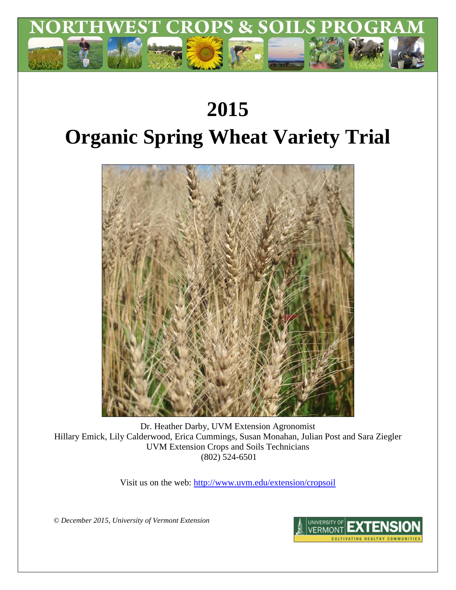

# **2015 Organic Spring Wheat Variety Trial**



Dr. Heather Darby, UVM Extension Agronomist Hillary Emick, Lily Calderwood, Erica Cummings, Susan Monahan, Julian Post and Sara Ziegler UVM Extension Crops and Soils Technicians (802) 524-6501

Visit us on the web:<http://www.uvm.edu/extension/cropsoil>

*© December 2015, University of Vermont Extension*

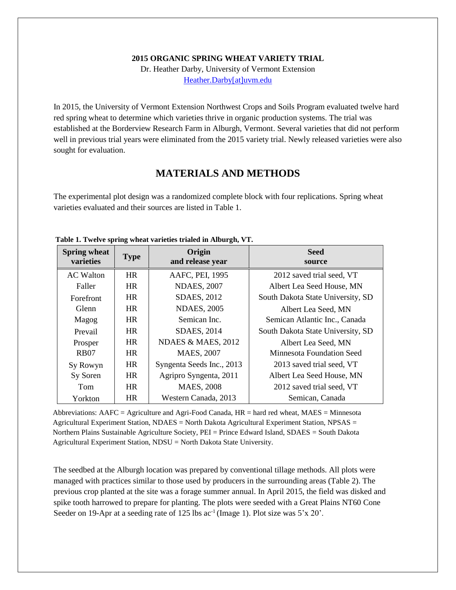#### **2015 ORGANIC SPRING WHEAT VARIETY TRIAL**

Dr. Heather Darby, University of Vermont Extension [Heather.Darby\[at\]uvm.edu](mailto:Heather.Darby@uvm.edu)

In 2015, the University of Vermont Extension Northwest Crops and Soils Program evaluated twelve hard red spring wheat to determine which varieties thrive in organic production systems. The trial was established at the Borderview Research Farm in Alburgh, Vermont. Several varieties that did not perform well in previous trial years were eliminated from the 2015 variety trial. Newly released varieties were also sought for evaluation.

## **MATERIALS AND METHODS**

The experimental plot design was a randomized complete block with four replications. Spring wheat varieties evaluated and their sources are listed in Table 1.

| <b>Spring wheat</b><br>varieties | <b>Type</b> | Origin<br>and release year | <b>Seed</b><br>source             |  |  |
|----------------------------------|-------------|----------------------------|-----------------------------------|--|--|
| <b>AC</b> Walton                 | <b>HR</b>   | AAFC, PEI, 1995            | 2012 saved trial seed, VT         |  |  |
| Faller                           | HR.         | <b>NDAES, 2007</b>         | Albert Lea Seed House, MN         |  |  |
| Forefront                        | <b>HR</b>   | <b>SDAES, 2012</b>         | South Dakota State University, SD |  |  |
| Glenn                            | <b>HR</b>   | <b>NDAES, 2005</b>         | Albert Lea Seed, MN               |  |  |
| Magog                            | <b>HR</b>   | Semican Inc.               | Semican Atlantic Inc., Canada     |  |  |
| Prevail                          | <b>HR</b>   | <b>SDAES, 2014</b>         | South Dakota State University, SD |  |  |
| Prosper                          | <b>HR</b>   | NDAES & MAES, 2012         | Albert Lea Seed, MN               |  |  |
| <b>RB07</b>                      | <b>HR</b>   | <b>MAES, 2007</b>          | Minnesota Foundation Seed         |  |  |
| Sy Rowyn                         | <b>HR</b>   | Syngenta Seeds Inc., 2013  | 2013 saved trial seed, VT         |  |  |
| Sy Soren                         | <b>HR</b>   | Agripro Syngenta, 2011     | Albert Lea Seed House, MN         |  |  |
| Tom                              | <b>HR</b>   | <b>MAES, 2008</b>          | 2012 saved trial seed, VT         |  |  |
| Yorkton                          | <b>HR</b>   | Western Canada, 2013       | Semican, Canada                   |  |  |

#### **Table 1. Twelve spring wheat varieties trialed in Alburgh, VT.**

Abbreviations:  $AAFC = Agriculture$  and Agri-Food Canada,  $HR = hard$  red wheat,  $MAES = Minnesota$ Agricultural Experiment Station, NDAES = North Dakota Agricultural Experiment Station, NPSAS = Northern Plains Sustainable Agriculture Society, PEI = Prince Edward Island, SDAES = South Dakota Agricultural Experiment Station, NDSU = North Dakota State University.

The seedbed at the Alburgh location was prepared by conventional tillage methods. All plots were managed with practices similar to those used by producers in the surrounding areas (Table 2). The previous crop planted at the site was a forage summer annual. In April 2015, the field was disked and spike tooth harrowed to prepare for planting. The plots were seeded with a Great Plains NT60 Cone Seeder on 19-Apr at a seeding rate of 125 lbs  $ac^{-1}$  (Image 1). Plot size was 5'x 20'.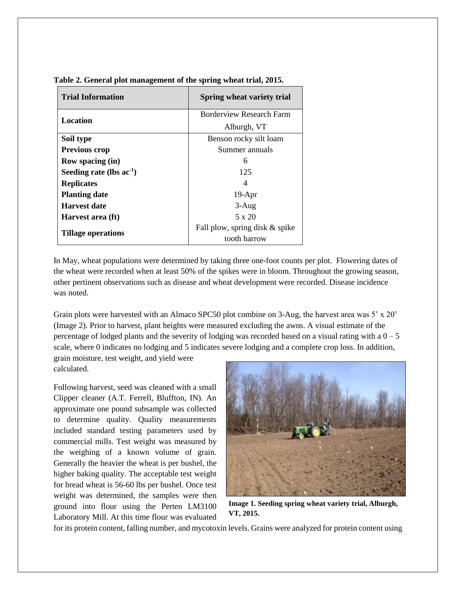| <b>Trial Information</b>      | Spring wheat variety trial      |  |  |  |
|-------------------------------|---------------------------------|--|--|--|
| Location                      | <b>Borderview Research Farm</b> |  |  |  |
|                               | Alburgh, VT                     |  |  |  |
| Soil type                     | Benson rocky silt loam          |  |  |  |
| <b>Previous crop</b>          | Summer annuals                  |  |  |  |
| Row spacing (in)              | 6                               |  |  |  |
| Seeding rate (lbs $ac^{-1}$ ) | 125                             |  |  |  |
| <b>Replicates</b>             |                                 |  |  |  |
| <b>Planting date</b>          | $19-Apr$                        |  |  |  |
| Harvest date                  | $3-Aug$                         |  |  |  |
| Harvest area (ft)             | $5 \times 20$                   |  |  |  |
| <b>Tillage operations</b>     | Fall plow, spring disk & spike  |  |  |  |
|                               | tooth harrow                    |  |  |  |

**Table 2. General plot management of the spring wheat trial, 2015.**

In May, wheat populations were determined by taking three one-foot counts per plot. Flowering dates of the wheat were recorded when at least 50% of the spikes were in bloom. Throughout the growing season, other pertinent observations such as disease and wheat development were recorded. Disease incidence was noted.

Grain plots were harvested with an Almaco SPC50 plot combine on 3-Aug, the harvest area was 5' x 20' (Image 2). Prior to harvest, plant heights were measured excluding the awns. A visual estimate of the percentage of lodged plants and the severity of lodging was recorded based on a visual rating with a  $0 - 5$ scale, where 0 indicates no lodging and 5 indicates severe lodging and a complete crop loss. In addition,

grain moisture, test weight, and yield were calculated.

Following harvest, seed was cleaned with a small Clipper cleaner (A.T. Ferrell, Bluffton, IN). An approximate one pound subsample was collected to determine quality. Quality measurements included standard testing parameters used by commercial mills. Test weight was measured by the weighing of a known volume of grain. Generally the heavier the wheat is per bushel, the higher baking quality. The acceptable test weight for bread wheat is 56-60 lbs per bushel. Once test weight was determined, the samples were then ground into flour using the Perten LM3100 Laboratory Mill. At this time flour was evaluated



**Image 1. Seeding spring wheat variety trial, Alburgh, VT, 2015.**

for its protein content, falling number, and mycotoxin levels. Grains were analyzed for protein content using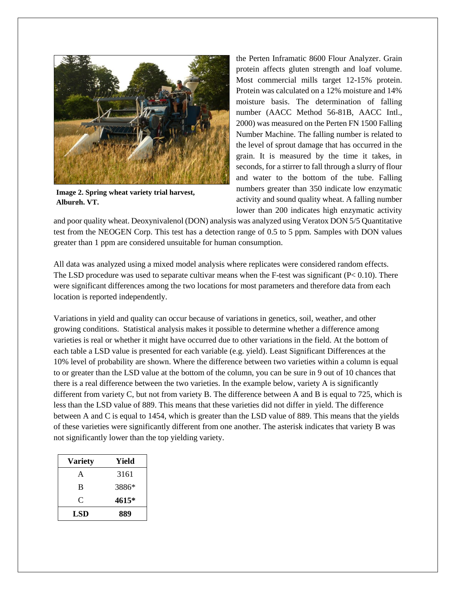

**Image 2. Spring wheat variety trial harvest, Alburgh, VT.**

the Perten Inframatic 8600 Flour Analyzer. Grain protein affects gluten strength and loaf volume. Most commercial mills target 12-15% protein. Protein was calculated on a 12% moisture and 14% moisture basis. The determination of falling number (AACC Method 56-81B, AACC Intl., 2000) was measured on the Perten FN 1500 Falling Number Machine. The falling number is related to the level of sprout damage that has occurred in the grain. It is measured by the time it takes, in seconds, for a stirrer to fall through a slurry of flour and water to the bottom of the tube. Falling numbers greater than 350 indicate low enzymatic activity and sound quality wheat. A falling number lower than 200 indicates high enzymatic activity

and poor quality wheat. Deoxynivalenol (DON) analysis was analyzed using Veratox DON 5/5 Quantitative test from the NEOGEN Corp. This test has a detection range of 0.5 to 5 ppm. Samples with DON values greater than 1 ppm are considered unsuitable for human consumption.

All data was analyzed using a mixed model analysis where replicates were considered random effects. The LSD procedure was used to separate cultivar means when the F-test was significant ( $P < 0.10$ ). There were significant differences among the two locations for most parameters and therefore data from each location is reported independently.

Variations in yield and quality can occur because of variations in genetics, soil, weather, and other growing conditions. Statistical analysis makes it possible to determine whether a difference among varieties is real or whether it might have occurred due to other variations in the field. At the bottom of each table a LSD value is presented for each variable (e.g. yield). Least Significant Differences at the 10% level of probability are shown. Where the difference between two varieties within a column is equal to or greater than the LSD value at the bottom of the column, you can be sure in 9 out of 10 chances that there is a real difference between the two varieties. In the example below, variety A is significantly different from variety C, but not from variety B. The difference between A and B is equal to 725, which is less than the LSD value of 889. This means that these varieties did not differ in yield. The difference between A and C is equal to 1454, which is greater than the LSD value of 889. This means that the yields of these varieties were significantly different from one another. The asterisk indicates that variety B was not significantly lower than the top yielding variety.

| <b>Variety</b> | Yield |
|----------------|-------|
| A              | 3161  |
| B              | 3886* |
| C              | 4615* |
| <b>LSD</b>     | 889   |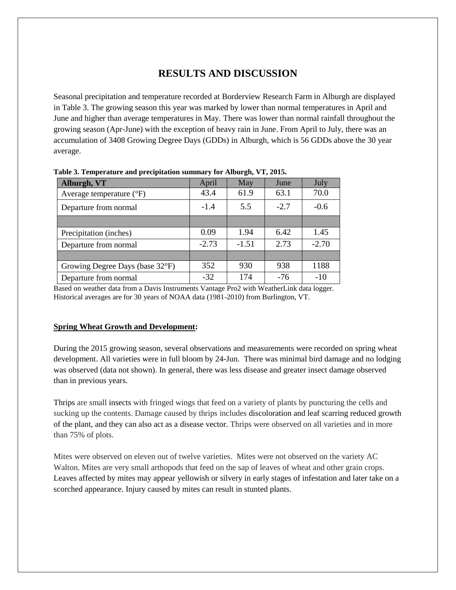# **RESULTS AND DISCUSSION**

Seasonal precipitation and temperature recorded at Borderview Research Farm in Alburgh are displayed in Table 3. The growing season this year was marked by lower than normal temperatures in April and June and higher than average temperatures in May. There was lower than normal rainfall throughout the growing season (Apr-June) with the exception of heavy rain in June. From April to July, there was an accumulation of 3408 Growing Degree Days (GDDs) in Alburgh, which is 56 GDDs above the 30 year average.

| 1 après : 1 cmperature anu precipitation banniait, for filologue et 1 septembre |         |         |       |         |  |  |  |  |
|---------------------------------------------------------------------------------|---------|---------|-------|---------|--|--|--|--|
| Alburgh, VT                                                                     | April   | May     | June  | July    |  |  |  |  |
| Average temperature $(^{\circ}F)$                                               | 43.4    | 61.9    | 63.1  | 70.0    |  |  |  |  |
| Departure from normal                                                           | $-1.4$  | 5.5     |       | $-0.6$  |  |  |  |  |
|                                                                                 |         |         |       |         |  |  |  |  |
| Precipitation (inches)                                                          | 0.09    | 1.94    | 6.42  | 1.45    |  |  |  |  |
| Departure from normal                                                           | $-2.73$ | $-1.51$ | 2.73  | $-2.70$ |  |  |  |  |
|                                                                                 |         |         |       |         |  |  |  |  |
| Growing Degree Days (base 32°F)                                                 | 352     | 930     | 938   | 1188    |  |  |  |  |
| Departure from normal                                                           | $-32$   | 174     | $-76$ | $-10$   |  |  |  |  |

**Table 3. Temperature and precipitation summary for Alburgh, VT, 2015.**

Based on weather data from a Davis Instruments Vantage Pro2 with WeatherLink data logger. Historical averages are for 30 years of NOAA data (1981-2010) from Burlington, VT.

#### **Spring Wheat Growth and Development:**

During the 2015 growing season, several observations and measurements were recorded on spring wheat development. All varieties were in full bloom by 24-Jun. There was minimal bird damage and no lodging was observed (data not shown). In general, there was less disease and greater insect damage observed than in previous years.

Thrips are small insects with fringed wings that feed on a variety of plants by puncturing the cells and sucking up the contents. Damage caused by thrips includes discoloration and leaf scarring reduced growth of the plant, and they can also act as a disease vector. Thrips were observed on all varieties and in more than 75% of plots.

Mites were observed on eleven out of twelve varieties. Mites were not observed on the variety AC Walton. Mites are very small arthopods that feed on the sap of leaves of wheat and other grain crops. Leaves affected by mites may appear yellowish or silvery in early stages of infestation and later take on a scorched appearance. Injury caused by mites can result in stunted plants.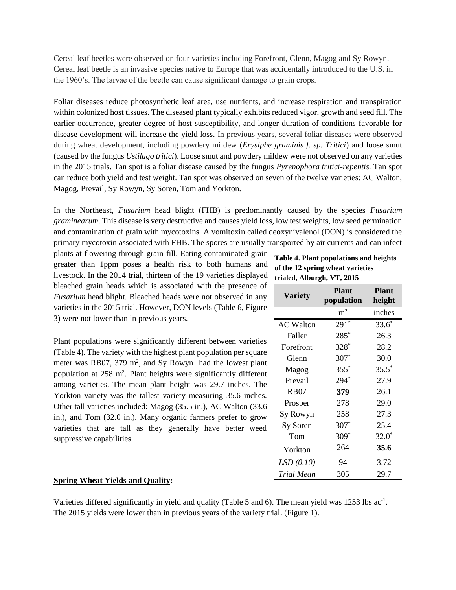Cereal leaf beetles were observed on four varieties including Forefront, Glenn, Magog and Sy Rowyn. Cereal leaf beetle is an invasive species native to Europe that was accidentally introduced to the U.S. in the 1960's. The larvae of the beetle can cause significant damage to grain crops.

Foliar diseases reduce photosynthetic leaf area, use nutrients, and increase respiration and transpiration within colonized host tissues. The diseased plant typically exhibits reduced vigor, growth and seed fill. The earlier occurrence, greater degree of host susceptibility, and longer duration of conditions favorable for disease development will increase the yield loss. In previous years, several foliar diseases were observed during wheat development, including powdery mildew (*Erysiphe graminis f. sp. Tritici*) and loose smut (caused by the fungus *Ustilago tritici*). Loose smut and powdery mildew were not observed on any varieties in the 2015 trials. Tan spot is a foliar disease caused by the fungus *Pyrenophora tritici-repentis.* Tan spot can reduce both yield and test weight. Tan spot was observed on seven of the twelve varieties: AC Walton, Magog, Prevail, Sy Rowyn, Sy Soren, Tom and Yorkton.

In the Northeast, *Fusarium* head blight (FHB) is predominantly caused by the species *Fusarium graminearum*. This disease is very destructive and causes yield loss, low test weights, low seed germination and contamination of grain with mycotoxins. A vomitoxin called deoxynivalenol (DON) is considered the primary mycotoxin associated with FHB. The spores are usually transported by air currents and can infect

plants at flowering through grain fill. Eating contaminated grain greater than 1ppm poses a health risk to both humans and livestock. In the 2014 trial, thirteen of the 19 varieties displayed bleached grain heads which is associated with the presence of *Fusarium* head blight. Bleached heads were not observed in any varieties in the 2015 trial. However, DON levels (Table 6, Figure 3) were not lower than in previous years.

Plant populations were significantly different between varieties (Table 4). The variety with the highest plant population per square meter was RB07, 379  $m^2$ , and Sy Rowyn had the lowest plant population at 258 m<sup>2</sup>. Plant heights were significantly different among varieties. The mean plant height was 29.7 inches. The Yorkton variety was the tallest variety measuring 35.6 inches. Other tall varieties included: Magog (35.5 in.), AC Walton (33.6 in.), and Tom (32.0 in.). Many organic farmers prefer to grow varieties that are tall as they generally have better weed suppressive capabilities.

## **Table 4. Plant populations and heights of the 12 spring wheat varieties trialed, Alburgh, VT, 2015**

| <b>Variety</b>   | <b>Plant</b><br>population | <b>Plant</b><br>height |  |  |
|------------------|----------------------------|------------------------|--|--|
|                  | m <sup>2</sup>             | inches                 |  |  |
| <b>AC Walton</b> | $291*$                     | $33.6*$                |  |  |
| Faller           | $285*$                     | 26.3                   |  |  |
| Forefront        | $328*$                     | 28.2                   |  |  |
| Glenn            | $307*$                     | 30.0                   |  |  |
| Magog            | $355*$                     | $35.5^*$               |  |  |
| Prevail          | $294*$                     | 27.9                   |  |  |
| <b>RB07</b>      | 379                        | 26.1                   |  |  |
| Prosper          | 278                        | 29.0                   |  |  |
| Sy Rowyn         | 258                        | 27.3                   |  |  |
| Sy Soren         | $307*$                     | 25.4                   |  |  |
| Tom              | $309*$                     | $32.0*$                |  |  |
| Yorkton          | 264                        | 35.6                   |  |  |
| LSD(0.10)        | 94                         | 3.72                   |  |  |
| Trial Mean       | 305                        | 29.7                   |  |  |

## **Spring Wheat Yields and Quality:**

Varieties differed significantly in yield and quality (Table 5 and 6). The mean yield was 1253 lbs ac<sup>-1</sup>. The 2015 yields were lower than in previous years of the variety trial. (Figure 1).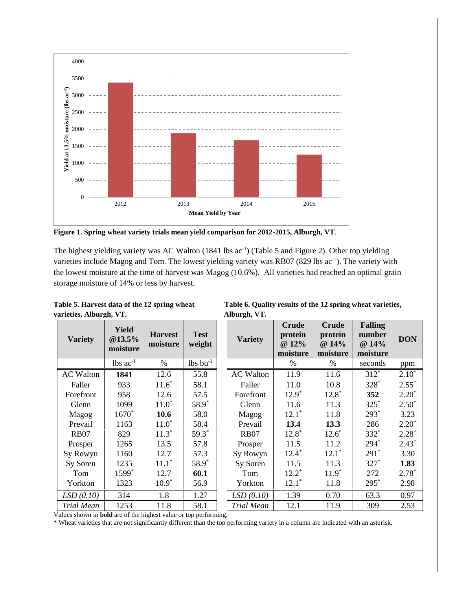

**Figure 1. Spring wheat variety trials mean yield comparison for 2012-2015, Alburgh, VT**.

The highest yielding variety was AC Walton (1841 lbs ac<sup>-1</sup>) (Table 5 and Figure 2). Other top yielding varieties include Magog and Tom. The lowest yielding variety was RB07 (829 lbs ac<sup>-1</sup>). The variety with the lowest moisture at the time of harvest was Magog (10.6%). All varieties had reached an optimal grain storage moisture of 14% or less by harvest.

| Table 5. Harvest data of the 12 spring wheat | Table 6. Quali |
|----------------------------------------------|----------------|
| varieties, Alburgh, VT.                      | Alburgh, VT.   |
|                                              |                |

| <b>Variety</b>   | <b>Yield</b><br>@13.5%<br>moisture | <b>Harvest</b><br>moisture | <b>Test</b><br>weight | <b>Variety</b>   | <b>Crude</b><br>protein<br>@ 12%<br>moisture | <b>Crude</b><br>protein<br>@ 14%<br>moisture | Fallin<br>numb<br>@ 14 <sup>o</sup><br>moistu |
|------------------|------------------------------------|----------------------------|-----------------------|------------------|----------------------------------------------|----------------------------------------------|-----------------------------------------------|
|                  | $lbs$ ac <sup>-1</sup>             | %                          | $lbs$ bu $^{-1}$      |                  | %                                            | %                                            | secono                                        |
| <b>AC Walton</b> | 1841                               | 12.6                       | 55.8                  | <b>AC Walton</b> | 11.9                                         | 11.6                                         | $312*$                                        |
| Faller           | 933                                | $11.6*$                    | 58.1                  | Faller           | 11.0                                         | 10.8                                         | 328*                                          |
| Forefront        | 958                                | 12.6                       | 57.5                  | Forefront        | $12.9^*$                                     | $12.8*$                                      | 352                                           |
| Glenn            | 1099                               | $11.0*$                    | 58.9*                 | Glenn            | 11.6                                         | 11.3                                         | $325*$                                        |
| Magog            | $1670*$                            | 10.6                       | 58.0                  | Magog            | $12.1*$                                      | 11.8                                         | $293*$                                        |
| Prevail          | 1163                               | $11.0*$                    | 58.4                  | Prevail          | 13.4                                         | 13.3                                         | 286                                           |
| <b>RB07</b>      | 829                                | $11.3*$                    | $59.3*$               | <b>RB07</b>      | $12.8*$                                      | $12.6*$                                      | $332*$                                        |
| Prosper          | 1265                               | 13.5                       | 57.8                  | Prosper          | 11.5                                         | 11.2                                         | $294*$                                        |
| Sy Rowyn         | 1160                               | 12.7                       | 57.3                  | Sy Rowyn         | $12.4*$                                      | $12.1*$                                      | $291*$                                        |
| Sy Soren         | 1235                               | $11.1*$                    | 58.9*                 | Sy Soren         | 11.5                                         | 11.3                                         | $327*$                                        |
| Tom              | 1599*                              | 12.7                       | 60.1                  | Tom              | $12.2^*$                                     | $11.9*$                                      | 272                                           |
| Yorkton          | 1323                               | $10.9*$                    | 56.9                  | Yorkton          | $12.1*$                                      | 11.8                                         | $295*$                                        |
| LSD(0.10)        | 314                                | 1.8                        | 1.27                  | LSD(0.10)        | 1.39                                         | 0.70                                         | 63.3                                          |
| Trial Mean       | 1253                               | 11.8                       | 58.1                  | Trial Mean       | 12.1                                         | 11.9                                         | 309                                           |

| Table 5. Harvest data of the 12 spring wheat | Table 6. Quality results of the 12 spring wheat varieties, |
|----------------------------------------------|------------------------------------------------------------|
| varieties, Alburgh, VT.                      | Alburgh, VT.                                               |

| <b>Variety</b>    | <b>Yield</b><br>@13.5%<br>moisture | <b>Harvest</b><br>moisture | <b>Test</b><br>weight  | <b>Variety</b>    | <b>Crude</b><br>protein<br>@ 12%<br>moisture | <b>Crude</b><br>protein<br>@ 14%<br>moisture | <b>Falling</b><br>number<br>@ 14%<br>moisture | <b>DON</b> |
|-------------------|------------------------------------|----------------------------|------------------------|-------------------|----------------------------------------------|----------------------------------------------|-----------------------------------------------|------------|
|                   | $lbs$ $ac^{-1}$                    | $\%$                       | $lbs$ bu <sup>-1</sup> |                   | $\%$                                         | %                                            | seconds                                       | ppm        |
| <b>AC Walton</b>  | 1841                               | 12.6                       | 55.8                   | <b>AC Walton</b>  | 11.9                                         | 11.6                                         | $312*$                                        | $2.10*$    |
| Faller            | 933                                | $11.6*$                    | 58.1                   | Faller            | 11.0                                         | 10.8                                         | $328*$                                        | $2.55*$    |
| Forefront         | 958                                | 12.6                       | 57.5                   | Forefront         | $12.9^*$                                     | $12.8*$                                      | 352                                           | $2.20*$    |
| Glenn             | 1099                               | $11.0*$                    | 58.9*                  | Glenn             | 11.6                                         | 11.3                                         | $325*$                                        | $2.50*$    |
| Magog             | $1670*$                            | 10.6                       | 58.0                   | Magog             | $12.1*$                                      | 11.8                                         | $293*$                                        | 3.23       |
| Prevail           | 1163                               | $11.0*$                    | 58.4                   | Prevail           | 13.4                                         | 13.3                                         | 286                                           | $2.20*$    |
| <b>RB07</b>       | 829                                | $11.3*$                    | $59.3*$                | <b>RB07</b>       | $12.8*$                                      | $12.6*$                                      | 332*                                          | $2.28*$    |
| Prosper           | 1265                               | 13.5                       | 57.8                   | Prosper           | 11.5                                         | 11.2                                         | $294*$                                        | $2.43*$    |
| Sy Rowyn          | 1160                               | 12.7                       | 57.3                   | Sy Rowyn          | $12.4*$                                      | $12.1*$                                      | $291*$                                        | 3.30       |
| Sy Soren          | 1235                               | $11.1*$                    | 58.9*                  | Sy Soren          | 11.5                                         | 11.3                                         | $327*$                                        | 1.83       |
| Tom               | 1599*                              | 12.7                       | 60.1                   | Tom               | $12.2*$                                      | $11.9*$                                      | 272                                           | $2.78*$    |
| Yorkton           | 1323                               | $10.9*$                    | 56.9                   | Yorkton           | $12.1*$                                      | 11.8                                         | $295*$                                        | 2.98       |
| LSD(0.10)         | 314                                | 1.8                        | 1.27                   | LSD(0.10)         | 1.39                                         | 0.70                                         | 63.3                                          | 0.97       |
| <b>Trial Mean</b> | 1253<br>$0.1 \pm 1.1$<br>.         | 11.8                       | 58.1                   | <b>Trial Mean</b> | 12.1                                         | 11.9                                         | 309                                           | 2.53       |

Values shown in **bold** are of the highest value or top performing.

\* Wheat varieties that are not significantly different than the top performing variety in a column are indicated with an asterisk.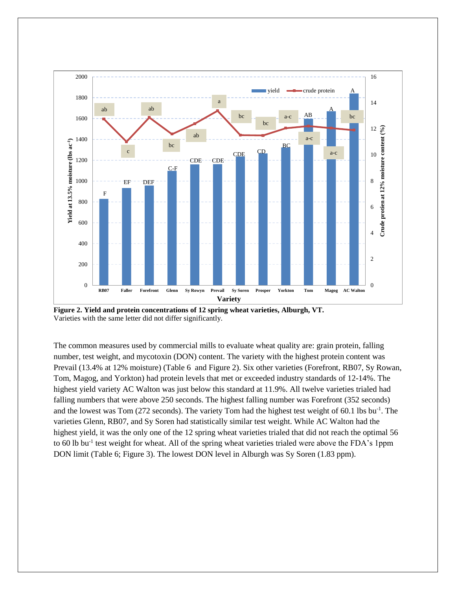

**Figure 2. Yield and protein concentrations of 12 spring wheat varieties, Alburgh, VT.** Varieties with the same letter did not differ significantly.

The common measures used by commercial mills to evaluate wheat quality are: grain protein, falling number, test weight, and mycotoxin (DON) content. The variety with the highest protein content was Prevail (13.4% at 12% moisture) (Table 6 and Figure 2). Six other varieties (Forefront, RB07, Sy Rowan, Tom, Magog, and Yorkton) had protein levels that met or exceeded industry standards of 12-14%. The highest yield variety AC Walton was just below this standard at 11.9%. All twelve varieties trialed had falling numbers that were above 250 seconds. The highest falling number was Forefront (352 seconds) and the lowest was Tom (272 seconds). The variety Tom had the highest test weight of 60.1 lbs bu<sup>-1</sup>. The varieties Glenn, RB07, and Sy Soren had statistically similar test weight. While AC Walton had the highest yield, it was the only one of the 12 spring wheat varieties trialed that did not reach the optimal 56 to 60 lb bu<sup>-1</sup> test weight for wheat. All of the spring wheat varieties trialed were above the FDA's 1ppm DON limit (Table 6; Figure 3). The lowest DON level in Alburgh was Sy Soren (1.83 ppm).